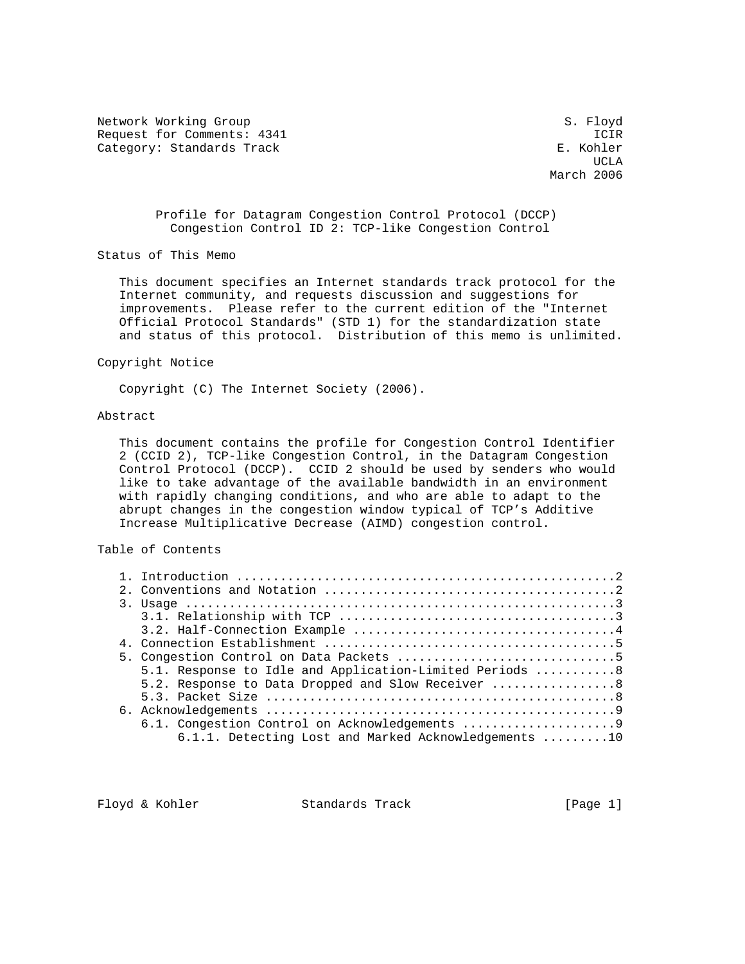Network Working Group S. Floyd Request for Comments: 4341 ICIR<br>Category: Standards Track Category: E. Kohler Category: Standards Track

UCLA AND LOCAL CONTRACT CONTRACT OF THE SECOND SECOND SECOND SECOND SECOND SECOND SECOND SECOND SECOND SECOND SECOND SECOND SECOND SECOND SECOND SECOND SECOND SECOND SECOND SECOND SECOND SECOND SECOND SECOND SECOND SECOND March 2006

> Profile for Datagram Congestion Control Protocol (DCCP) Congestion Control ID 2: TCP-like Congestion Control

Status of This Memo

 This document specifies an Internet standards track protocol for the Internet community, and requests discussion and suggestions for improvements. Please refer to the current edition of the "Internet Official Protocol Standards" (STD 1) for the standardization state and status of this protocol. Distribution of this memo is unlimited.

Copyright Notice

Copyright (C) The Internet Society (2006).

# Abstract

 This document contains the profile for Congestion Control Identifier 2 (CCID 2), TCP-like Congestion Control, in the Datagram Congestion Control Protocol (DCCP). CCID 2 should be used by senders who would like to take advantage of the available bandwidth in an environment with rapidly changing conditions, and who are able to adapt to the abrupt changes in the congestion window typical of TCP's Additive Increase Multiplicative Decrease (AIMD) congestion control.

# Table of Contents

|  | 5.1. Response to Idle and Application-Limited Periods 8 |
|--|---------------------------------------------------------|
|  | 5.2. Response to Data Dropped and Slow Receiver 8       |
|  |                                                         |
|  |                                                         |
|  |                                                         |
|  | $6.1.1.$ Detecting Lost and Marked Acknowledgements 10  |
|  |                                                         |

Floyd & Kohler Standards Track [Page 1]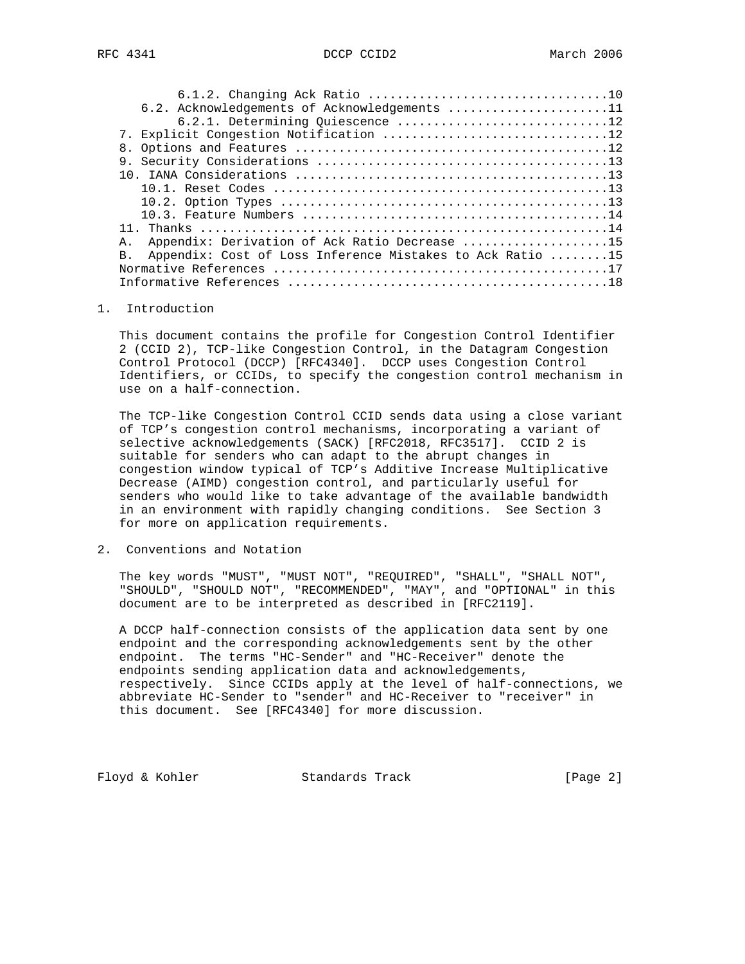| 6.2. Acknowledgements of Acknowledgements 11                                |  |
|-----------------------------------------------------------------------------|--|
| 6.2.1. Determining Quiescence 12                                            |  |
|                                                                             |  |
|                                                                             |  |
|                                                                             |  |
|                                                                             |  |
|                                                                             |  |
|                                                                             |  |
|                                                                             |  |
|                                                                             |  |
| Appendix: Derivation of Ack Ratio Decrease 15<br>$\mathsf{A}$ .             |  |
| Appendix: Cost of Loss Inference Mistakes to Ack Ratio 15<br>B <sub>1</sub> |  |
|                                                                             |  |
|                                                                             |  |

## 1. Introduction

 This document contains the profile for Congestion Control Identifier 2 (CCID 2), TCP-like Congestion Control, in the Datagram Congestion Control Protocol (DCCP) [RFC4340]. DCCP uses Congestion Control Identifiers, or CCIDs, to specify the congestion control mechanism in use on a half-connection.

 The TCP-like Congestion Control CCID sends data using a close variant of TCP's congestion control mechanisms, incorporating a variant of selective acknowledgements (SACK) [RFC2018, RFC3517]. CCID 2 is suitable for senders who can adapt to the abrupt changes in congestion window typical of TCP's Additive Increase Multiplicative Decrease (AIMD) congestion control, and particularly useful for senders who would like to take advantage of the available bandwidth in an environment with rapidly changing conditions. See Section 3 for more on application requirements.

2. Conventions and Notation

 The key words "MUST", "MUST NOT", "REQUIRED", "SHALL", "SHALL NOT", "SHOULD", "SHOULD NOT", "RECOMMENDED", "MAY", and "OPTIONAL" in this document are to be interpreted as described in [RFC2119].

 A DCCP half-connection consists of the application data sent by one endpoint and the corresponding acknowledgements sent by the other endpoint. The terms "HC-Sender" and "HC-Receiver" denote the endpoints sending application data and acknowledgements, respectively. Since CCIDs apply at the level of half-connections, we abbreviate HC-Sender to "sender" and HC-Receiver to "receiver" in this document. See [RFC4340] for more discussion.

Floyd & Kohler Standards Track [Page 2]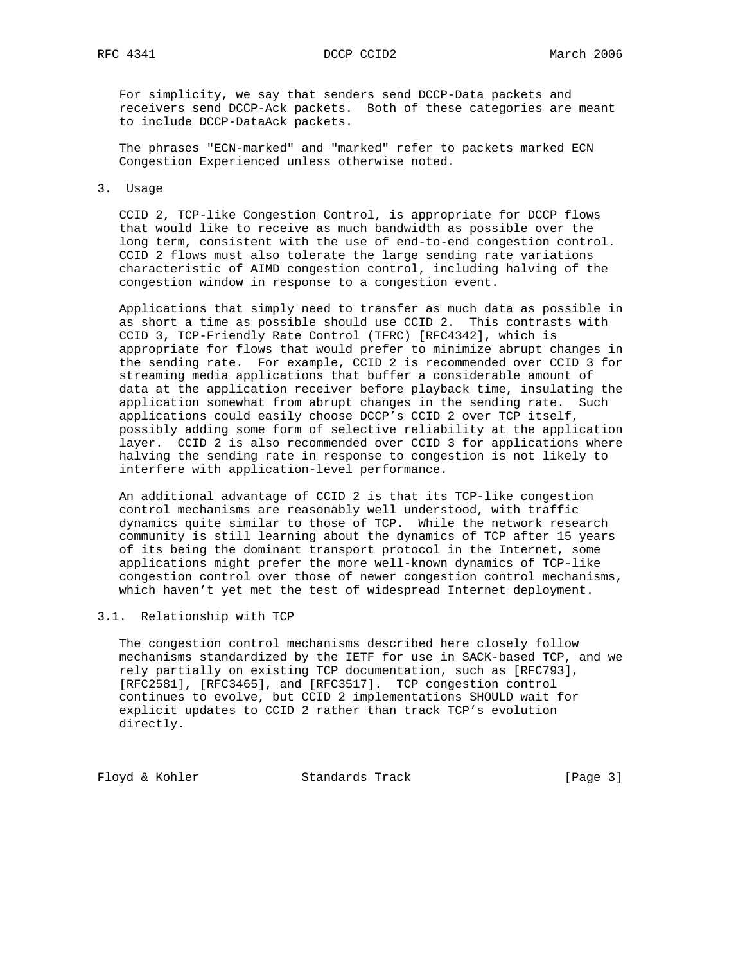For simplicity, we say that senders send DCCP-Data packets and receivers send DCCP-Ack packets. Both of these categories are meant to include DCCP-DataAck packets.

 The phrases "ECN-marked" and "marked" refer to packets marked ECN Congestion Experienced unless otherwise noted.

## 3. Usage

 CCID 2, TCP-like Congestion Control, is appropriate for DCCP flows that would like to receive as much bandwidth as possible over the long term, consistent with the use of end-to-end congestion control. CCID 2 flows must also tolerate the large sending rate variations characteristic of AIMD congestion control, including halving of the congestion window in response to a congestion event.

 Applications that simply need to transfer as much data as possible in as short a time as possible should use CCID 2. This contrasts with CCID 3, TCP-Friendly Rate Control (TFRC) [RFC4342], which is appropriate for flows that would prefer to minimize abrupt changes in the sending rate. For example, CCID 2 is recommended over CCID 3 for streaming media applications that buffer a considerable amount of data at the application receiver before playback time, insulating the application somewhat from abrupt changes in the sending rate. Such applications could easily choose DCCP's CCID 2 over TCP itself, possibly adding some form of selective reliability at the application layer. CCID 2 is also recommended over CCID 3 for applications where halving the sending rate in response to congestion is not likely to interfere with application-level performance.

 An additional advantage of CCID 2 is that its TCP-like congestion control mechanisms are reasonably well understood, with traffic dynamics quite similar to those of TCP. While the network research community is still learning about the dynamics of TCP after 15 years of its being the dominant transport protocol in the Internet, some applications might prefer the more well-known dynamics of TCP-like congestion control over those of newer congestion control mechanisms, which haven't yet met the test of widespread Internet deployment.

# 3.1. Relationship with TCP

 The congestion control mechanisms described here closely follow mechanisms standardized by the IETF for use in SACK-based TCP, and we rely partially on existing TCP documentation, such as [RFC793], [RFC2581], [RFC3465], and [RFC3517]. TCP congestion control continues to evolve, but CCID 2 implementations SHOULD wait for explicit updates to CCID 2 rather than track TCP's evolution directly.

Floyd & Kohler Standards Track [Page 3]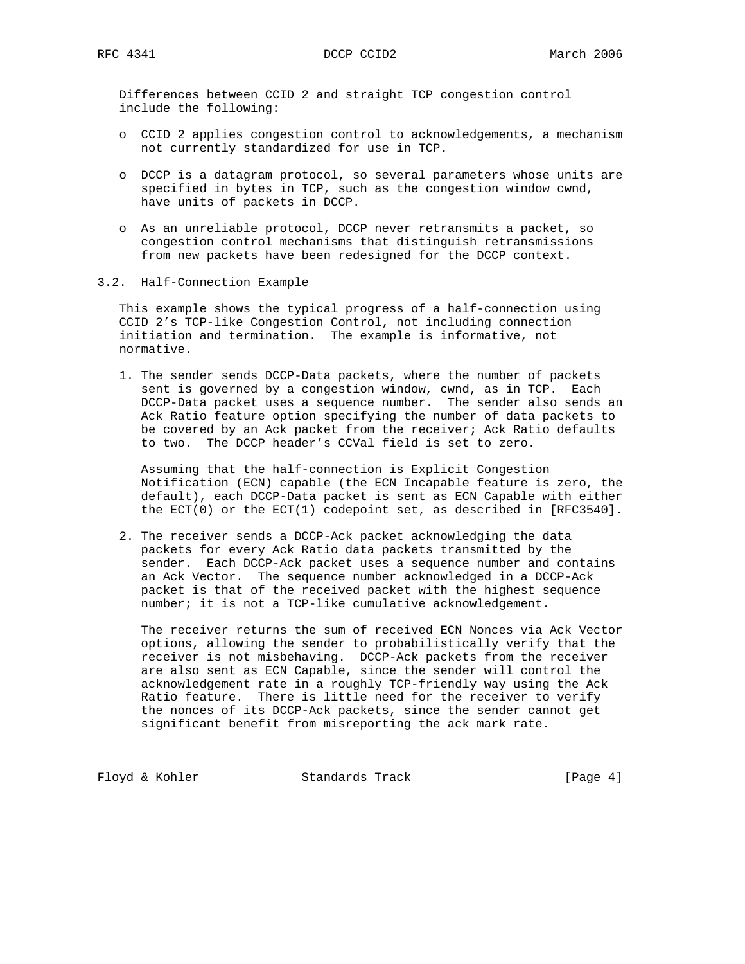Differences between CCID 2 and straight TCP congestion control include the following:

- o CCID 2 applies congestion control to acknowledgements, a mechanism not currently standardized for use in TCP.
- o DCCP is a datagram protocol, so several parameters whose units are specified in bytes in TCP, such as the congestion window cwnd, have units of packets in DCCP.
- o As an unreliable protocol, DCCP never retransmits a packet, so congestion control mechanisms that distinguish retransmissions from new packets have been redesigned for the DCCP context.
- 3.2. Half-Connection Example

 This example shows the typical progress of a half-connection using CCID 2's TCP-like Congestion Control, not including connection initiation and termination. The example is informative, not normative.

 1. The sender sends DCCP-Data packets, where the number of packets sent is governed by a congestion window, cwnd, as in TCP. Each DCCP-Data packet uses a sequence number. The sender also sends an Ack Ratio feature option specifying the number of data packets to be covered by an Ack packet from the receiver; Ack Ratio defaults to two. The DCCP header's CCVal field is set to zero.

 Assuming that the half-connection is Explicit Congestion Notification (ECN) capable (the ECN Incapable feature is zero, the default), each DCCP-Data packet is sent as ECN Capable with either the ECT(0) or the ECT(1) codepoint set, as described in [RFC3540].

 2. The receiver sends a DCCP-Ack packet acknowledging the data packets for every Ack Ratio data packets transmitted by the sender. Each DCCP-Ack packet uses a sequence number and contains an Ack Vector. The sequence number acknowledged in a DCCP-Ack packet is that of the received packet with the highest sequence number; it is not a TCP-like cumulative acknowledgement.

 The receiver returns the sum of received ECN Nonces via Ack Vector options, allowing the sender to probabilistically verify that the receiver is not misbehaving. DCCP-Ack packets from the receiver are also sent as ECN Capable, since the sender will control the acknowledgement rate in a roughly TCP-friendly way using the Ack Ratio feature. There is little need for the receiver to verify the nonces of its DCCP-Ack packets, since the sender cannot get significant benefit from misreporting the ack mark rate.

Floyd & Kohler Standards Track [Page 4]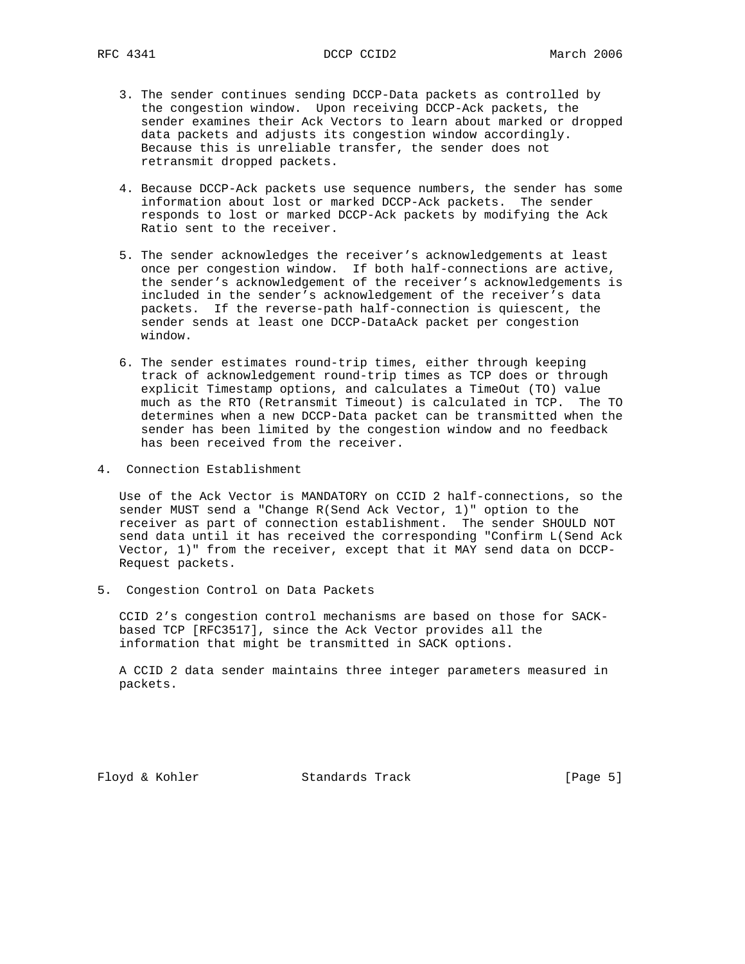- 3. The sender continues sending DCCP-Data packets as controlled by the congestion window. Upon receiving DCCP-Ack packets, the sender examines their Ack Vectors to learn about marked or dropped data packets and adjusts its congestion window accordingly. Because this is unreliable transfer, the sender does not retransmit dropped packets.
- 4. Because DCCP-Ack packets use sequence numbers, the sender has some information about lost or marked DCCP-Ack packets. The sender responds to lost or marked DCCP-Ack packets by modifying the Ack Ratio sent to the receiver.
- 5. The sender acknowledges the receiver's acknowledgements at least once per congestion window. If both half-connections are active, the sender's acknowledgement of the receiver's acknowledgements is included in the sender's acknowledgement of the receiver's data packets. If the reverse-path half-connection is quiescent, the sender sends at least one DCCP-DataAck packet per congestion window.
- 6. The sender estimates round-trip times, either through keeping track of acknowledgement round-trip times as TCP does or through explicit Timestamp options, and calculates a TimeOut (TO) value much as the RTO (Retransmit Timeout) is calculated in TCP. The TO determines when a new DCCP-Data packet can be transmitted when the sender has been limited by the congestion window and no feedback has been received from the receiver.
- 4. Connection Establishment

 Use of the Ack Vector is MANDATORY on CCID 2 half-connections, so the sender MUST send a "Change R(Send Ack Vector, 1)" option to the receiver as part of connection establishment. The sender SHOULD NOT send data until it has received the corresponding "Confirm L(Send Ack Vector, 1)" from the receiver, except that it MAY send data on DCCP- Request packets.

5. Congestion Control on Data Packets

 CCID 2's congestion control mechanisms are based on those for SACK based TCP [RFC3517], since the Ack Vector provides all the information that might be transmitted in SACK options.

 A CCID 2 data sender maintains three integer parameters measured in packets.

Floyd & Kohler Standards Track [Page 5]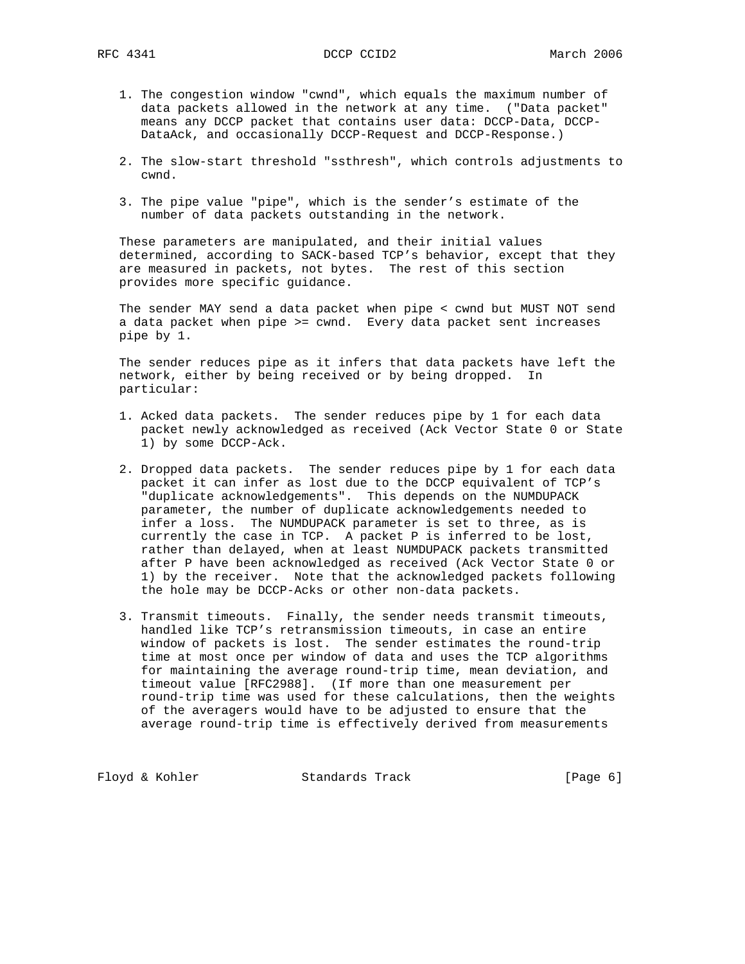- 1. The congestion window "cwnd", which equals the maximum number of data packets allowed in the network at any time. ("Data packet" means any DCCP packet that contains user data: DCCP-Data, DCCP- DataAck, and occasionally DCCP-Request and DCCP-Response.)
- 2. The slow-start threshold "ssthresh", which controls adjustments to cwnd.
- 3. The pipe value "pipe", which is the sender's estimate of the number of data packets outstanding in the network.

 These parameters are manipulated, and their initial values determined, according to SACK-based TCP's behavior, except that they are measured in packets, not bytes. The rest of this section provides more specific guidance.

 The sender MAY send a data packet when pipe < cwnd but MUST NOT send a data packet when pipe >= cwnd. Every data packet sent increases pipe by 1.

 The sender reduces pipe as it infers that data packets have left the network, either by being received or by being dropped. In particular:

- 1. Acked data packets. The sender reduces pipe by 1 for each data packet newly acknowledged as received (Ack Vector State 0 or State 1) by some DCCP-Ack.
- 2. Dropped data packets. The sender reduces pipe by 1 for each data packet it can infer as lost due to the DCCP equivalent of TCP's "duplicate acknowledgements". This depends on the NUMDUPACK parameter, the number of duplicate acknowledgements needed to infer a loss. The NUMDUPACK parameter is set to three, as is currently the case in TCP. A packet P is inferred to be lost, rather than delayed, when at least NUMDUPACK packets transmitted after P have been acknowledged as received (Ack Vector State 0 or 1) by the receiver. Note that the acknowledged packets following the hole may be DCCP-Acks or other non-data packets.
- 3. Transmit timeouts. Finally, the sender needs transmit timeouts, handled like TCP's retransmission timeouts, in case an entire window of packets is lost. The sender estimates the round-trip time at most once per window of data and uses the TCP algorithms for maintaining the average round-trip time, mean deviation, and timeout value [RFC2988]. (If more than one measurement per round-trip time was used for these calculations, then the weights of the averagers would have to be adjusted to ensure that the average round-trip time is effectively derived from measurements

Floyd & Kohler Standards Track [Page 6]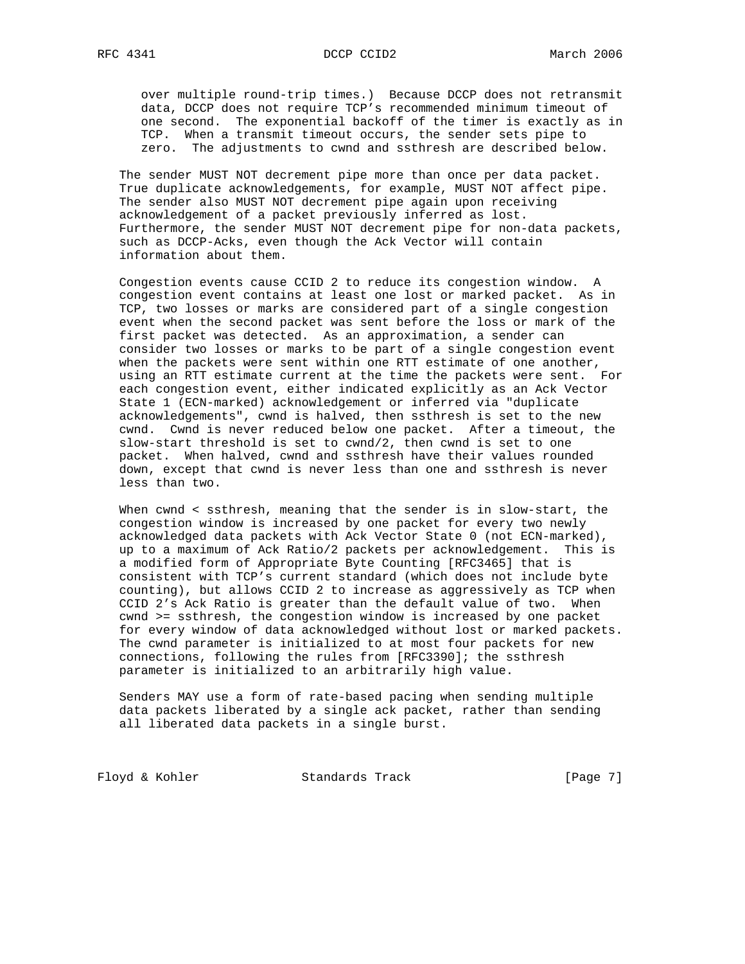over multiple round-trip times.) Because DCCP does not retransmit data, DCCP does not require TCP's recommended minimum timeout of one second. The exponential backoff of the timer is exactly as in TCP. When a transmit timeout occurs, the sender sets pipe to zero. The adjustments to cwnd and ssthresh are described below.

 The sender MUST NOT decrement pipe more than once per data packet. True duplicate acknowledgements, for example, MUST NOT affect pipe. The sender also MUST NOT decrement pipe again upon receiving acknowledgement of a packet previously inferred as lost. Furthermore, the sender MUST NOT decrement pipe for non-data packets, such as DCCP-Acks, even though the Ack Vector will contain information about them.

 Congestion events cause CCID 2 to reduce its congestion window. A congestion event contains at least one lost or marked packet. As in TCP, two losses or marks are considered part of a single congestion event when the second packet was sent before the loss or mark of the first packet was detected. As an approximation, a sender can consider two losses or marks to be part of a single congestion event when the packets were sent within one RTT estimate of one another, using an RTT estimate current at the time the packets were sent. For each congestion event, either indicated explicitly as an Ack Vector State 1 (ECN-marked) acknowledgement or inferred via "duplicate acknowledgements", cwnd is halved, then ssthresh is set to the new cwnd. Cwnd is never reduced below one packet. After a timeout, the slow-start threshold is set to cwnd/2, then cwnd is set to one packet. When halved, cwnd and ssthresh have their values rounded down, except that cwnd is never less than one and ssthresh is never less than two.

 When cwnd < ssthresh, meaning that the sender is in slow-start, the congestion window is increased by one packet for every two newly acknowledged data packets with Ack Vector State 0 (not ECN-marked), up to a maximum of Ack Ratio/2 packets per acknowledgement. This is a modified form of Appropriate Byte Counting [RFC3465] that is consistent with TCP's current standard (which does not include byte counting), but allows CCID 2 to increase as aggressively as TCP when CCID 2's Ack Ratio is greater than the default value of two. When cwnd >= ssthresh, the congestion window is increased by one packet for every window of data acknowledged without lost or marked packets. The cwnd parameter is initialized to at most four packets for new connections, following the rules from [RFC3390]; the ssthresh parameter is initialized to an arbitrarily high value.

 Senders MAY use a form of rate-based pacing when sending multiple data packets liberated by a single ack packet, rather than sending all liberated data packets in a single burst.

Floyd & Kohler Standards Track [Page 7]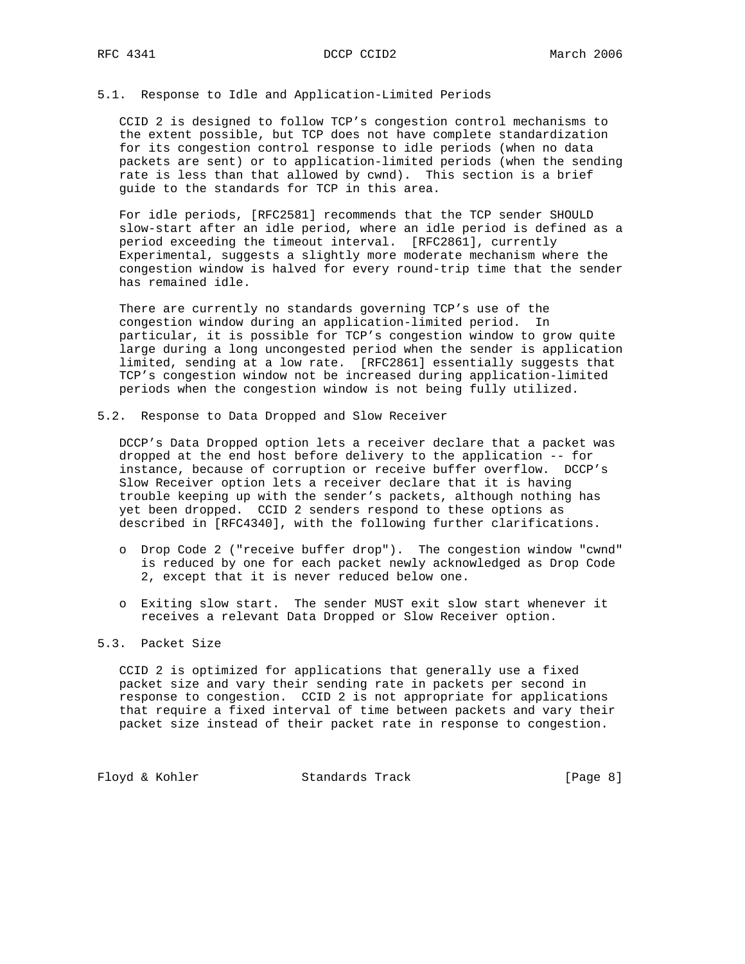# 5.1. Response to Idle and Application-Limited Periods

 CCID 2 is designed to follow TCP's congestion control mechanisms to the extent possible, but TCP does not have complete standardization for its congestion control response to idle periods (when no data packets are sent) or to application-limited periods (when the sending rate is less than that allowed by cwnd). This section is a brief guide to the standards for TCP in this area.

 For idle periods, [RFC2581] recommends that the TCP sender SHOULD slow-start after an idle period, where an idle period is defined as a period exceeding the timeout interval. [RFC2861], currently Experimental, suggests a slightly more moderate mechanism where the congestion window is halved for every round-trip time that the sender has remained idle.

 There are currently no standards governing TCP's use of the congestion window during an application-limited period. In particular, it is possible for TCP's congestion window to grow quite large during a long uncongested period when the sender is application limited, sending at a low rate. [RFC2861] essentially suggests that TCP's congestion window not be increased during application-limited periods when the congestion window is not being fully utilized.

5.2. Response to Data Dropped and Slow Receiver

 DCCP's Data Dropped option lets a receiver declare that a packet was dropped at the end host before delivery to the application -- for instance, because of corruption or receive buffer overflow. DCCP's Slow Receiver option lets a receiver declare that it is having trouble keeping up with the sender's packets, although nothing has yet been dropped. CCID 2 senders respond to these options as described in [RFC4340], with the following further clarifications.

- o Drop Code 2 ("receive buffer drop"). The congestion window "cwnd" is reduced by one for each packet newly acknowledged as Drop Code 2, except that it is never reduced below one.
- o Exiting slow start. The sender MUST exit slow start whenever it receives a relevant Data Dropped or Slow Receiver option.

# 5.3. Packet Size

 CCID 2 is optimized for applications that generally use a fixed packet size and vary their sending rate in packets per second in response to congestion. CCID 2 is not appropriate for applications that require a fixed interval of time between packets and vary their packet size instead of their packet rate in response to congestion.

Floyd & Kohler Standards Track [Page 8]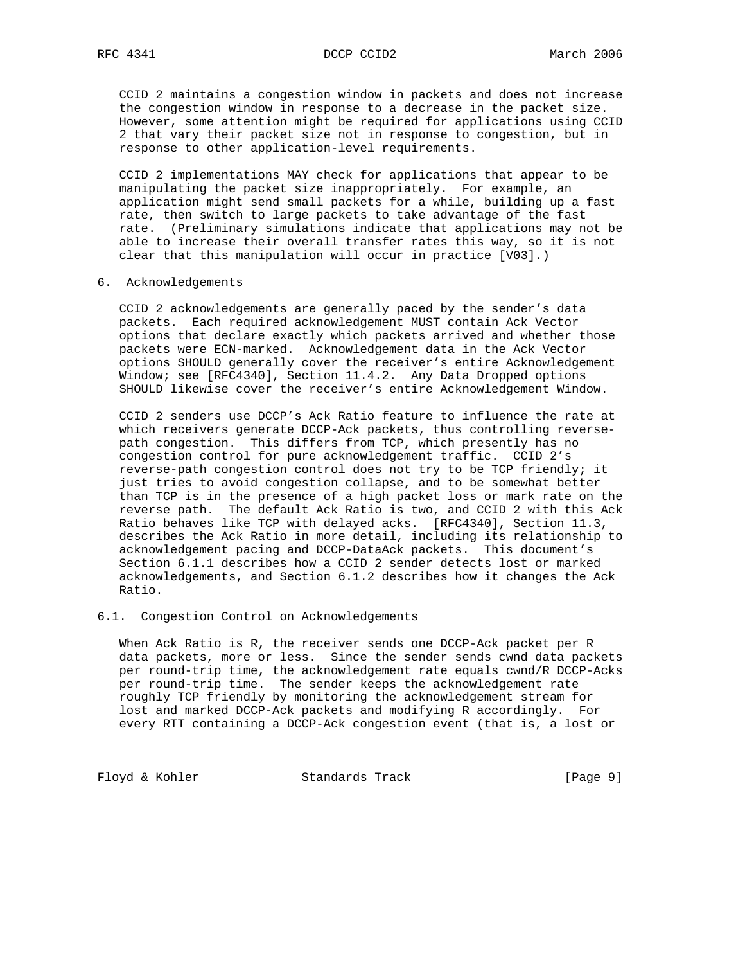CCID 2 maintains a congestion window in packets and does not increase the congestion window in response to a decrease in the packet size. However, some attention might be required for applications using CCID 2 that vary their packet size not in response to congestion, but in response to other application-level requirements.

 CCID 2 implementations MAY check for applications that appear to be manipulating the packet size inappropriately. For example, an application might send small packets for a while, building up a fast rate, then switch to large packets to take advantage of the fast rate. (Preliminary simulations indicate that applications may not be able to increase their overall transfer rates this way, so it is not clear that this manipulation will occur in practice [V03].)

# 6. Acknowledgements

 CCID 2 acknowledgements are generally paced by the sender's data packets. Each required acknowledgement MUST contain Ack Vector options that declare exactly which packets arrived and whether those packets were ECN-marked. Acknowledgement data in the Ack Vector options SHOULD generally cover the receiver's entire Acknowledgement Window; see [RFC4340], Section 11.4.2. Any Data Dropped options SHOULD likewise cover the receiver's entire Acknowledgement Window.

 CCID 2 senders use DCCP's Ack Ratio feature to influence the rate at which receivers generate DCCP-Ack packets, thus controlling reverse path congestion. This differs from TCP, which presently has no congestion control for pure acknowledgement traffic. CCID 2's reverse-path congestion control does not try to be TCP friendly; it just tries to avoid congestion collapse, and to be somewhat better than TCP is in the presence of a high packet loss or mark rate on the reverse path. The default Ack Ratio is two, and CCID 2 with this Ack Ratio behaves like TCP with delayed acks. [RFC4340], Section 11.3, describes the Ack Ratio in more detail, including its relationship to acknowledgement pacing and DCCP-DataAck packets. This document's Section 6.1.1 describes how a CCID 2 sender detects lost or marked acknowledgements, and Section 6.1.2 describes how it changes the Ack Ratio.

# 6.1. Congestion Control on Acknowledgements

 When Ack Ratio is R, the receiver sends one DCCP-Ack packet per R data packets, more or less. Since the sender sends cwnd data packets per round-trip time, the acknowledgement rate equals cwnd/R DCCP-Acks per round-trip time. The sender keeps the acknowledgement rate roughly TCP friendly by monitoring the acknowledgement stream for lost and marked DCCP-Ack packets and modifying R accordingly. For every RTT containing a DCCP-Ack congestion event (that is, a lost or

Floyd & Kohler Standards Track [Page 9]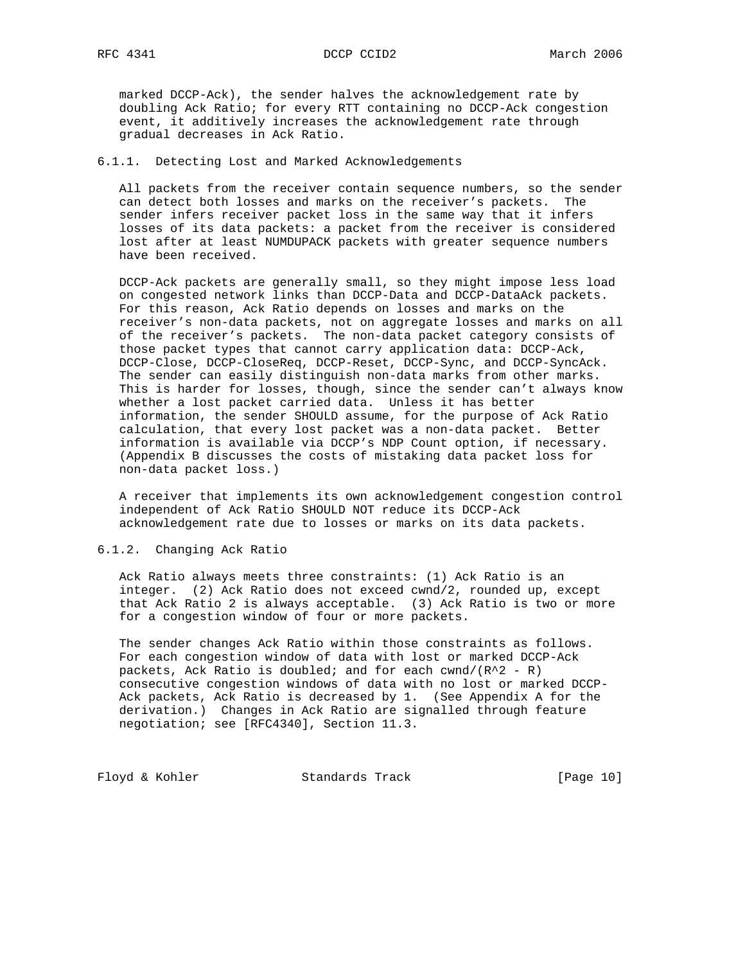marked DCCP-Ack), the sender halves the acknowledgement rate by doubling Ack Ratio; for every RTT containing no DCCP-Ack congestion event, it additively increases the acknowledgement rate through gradual decreases in Ack Ratio.

# 6.1.1. Detecting Lost and Marked Acknowledgements

 All packets from the receiver contain sequence numbers, so the sender can detect both losses and marks on the receiver's packets. The sender infers receiver packet loss in the same way that it infers losses of its data packets: a packet from the receiver is considered lost after at least NUMDUPACK packets with greater sequence numbers have been received.

 DCCP-Ack packets are generally small, so they might impose less load on congested network links than DCCP-Data and DCCP-DataAck packets. For this reason, Ack Ratio depends on losses and marks on the receiver's non-data packets, not on aggregate losses and marks on all of the receiver's packets. The non-data packet category consists of those packet types that cannot carry application data: DCCP-Ack, DCCP-Close, DCCP-CloseReq, DCCP-Reset, DCCP-Sync, and DCCP-SyncAck. The sender can easily distinguish non-data marks from other marks. This is harder for losses, though, since the sender can't always know whether a lost packet carried data. Unless it has better information, the sender SHOULD assume, for the purpose of Ack Ratio calculation, that every lost packet was a non-data packet. Better information is available via DCCP's NDP Count option, if necessary. (Appendix B discusses the costs of mistaking data packet loss for non-data packet loss.)

 A receiver that implements its own acknowledgement congestion control independent of Ack Ratio SHOULD NOT reduce its DCCP-Ack acknowledgement rate due to losses or marks on its data packets.

# 6.1.2. Changing Ack Ratio

 Ack Ratio always meets three constraints: (1) Ack Ratio is an integer. (2) Ack Ratio does not exceed cwnd/2, rounded up, except that Ack Ratio 2 is always acceptable. (3) Ack Ratio is two or more for a congestion window of four or more packets.

 The sender changes Ack Ratio within those constraints as follows. For each congestion window of data with lost or marked DCCP-Ack packets, Ack Ratio is doubled; and for each cwnd/ $(R^2 - R)$  consecutive congestion windows of data with no lost or marked DCCP- Ack packets, Ack Ratio is decreased by 1. (See Appendix A for the derivation.) Changes in Ack Ratio are signalled through feature negotiation; see [RFC4340], Section 11.3.

Floyd & Kohler Standards Track [Page 10]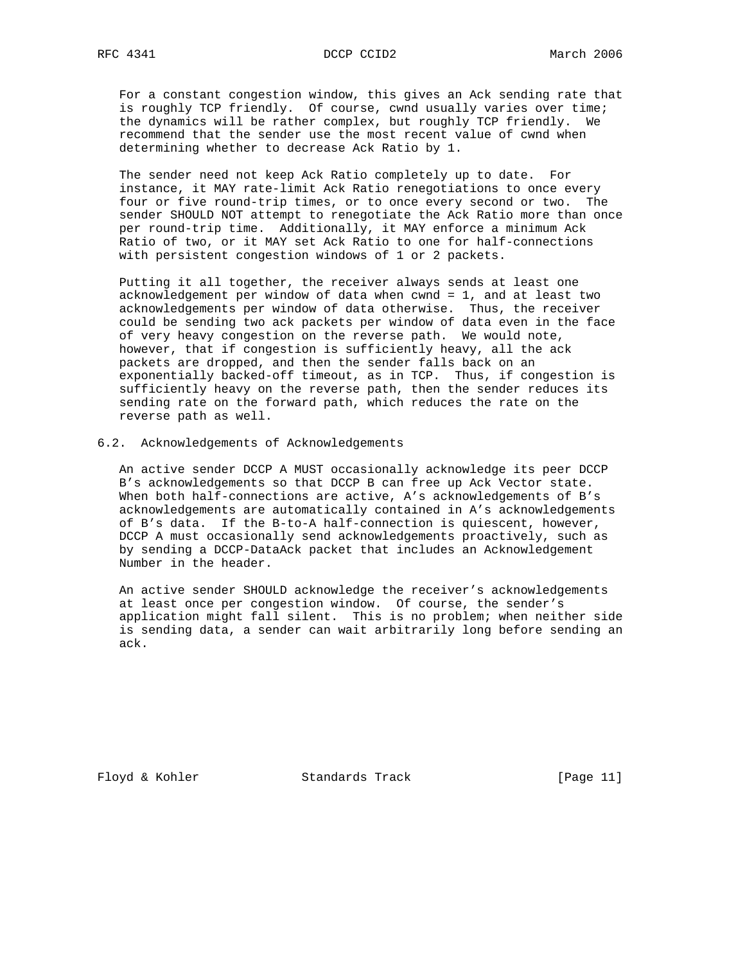For a constant congestion window, this gives an Ack sending rate that is roughly TCP friendly. Of course, cwnd usually varies over time; the dynamics will be rather complex, but roughly TCP friendly. We recommend that the sender use the most recent value of cwnd when determining whether to decrease Ack Ratio by 1.

 The sender need not keep Ack Ratio completely up to date. For instance, it MAY rate-limit Ack Ratio renegotiations to once every four or five round-trip times, or to once every second or two. The sender SHOULD NOT attempt to renegotiate the Ack Ratio more than once per round-trip time. Additionally, it MAY enforce a minimum Ack Ratio of two, or it MAY set Ack Ratio to one for half-connections with persistent congestion windows of 1 or 2 packets.

 Putting it all together, the receiver always sends at least one acknowledgement per window of data when cwnd = 1, and at least two acknowledgements per window of data otherwise. Thus, the receiver could be sending two ack packets per window of data even in the face of very heavy congestion on the reverse path. We would note, however, that if congestion is sufficiently heavy, all the ack packets are dropped, and then the sender falls back on an exponentially backed-off timeout, as in TCP. Thus, if congestion is sufficiently heavy on the reverse path, then the sender reduces its sending rate on the forward path, which reduces the rate on the reverse path as well.

## 6.2. Acknowledgements of Acknowledgements

 An active sender DCCP A MUST occasionally acknowledge its peer DCCP B's acknowledgements so that DCCP B can free up Ack Vector state. When both half-connections are active, A's acknowledgements of B's acknowledgements are automatically contained in A's acknowledgements of B's data. If the B-to-A half-connection is quiescent, however, DCCP A must occasionally send acknowledgements proactively, such as by sending a DCCP-DataAck packet that includes an Acknowledgement Number in the header.

 An active sender SHOULD acknowledge the receiver's acknowledgements at least once per congestion window. Of course, the sender's application might fall silent. This is no problem; when neither side is sending data, a sender can wait arbitrarily long before sending an ack.

Floyd & Kohler Standards Track [Page 11]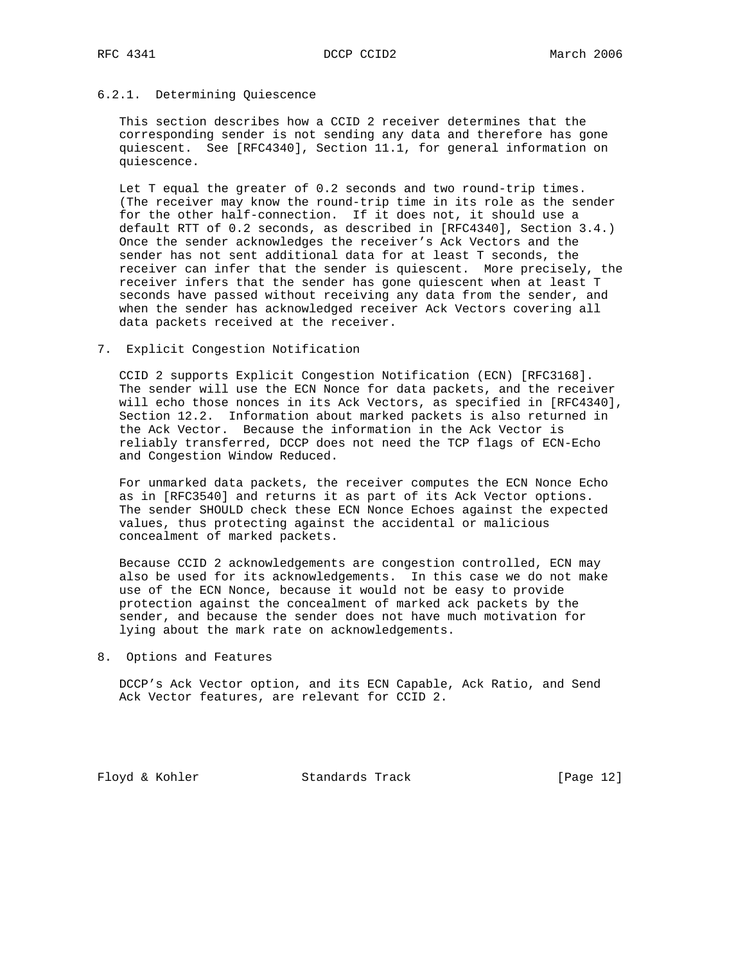# 6.2.1. Determining Quiescence

 This section describes how a CCID 2 receiver determines that the corresponding sender is not sending any data and therefore has gone quiescent. See [RFC4340], Section 11.1, for general information on quiescence.

 Let T equal the greater of 0.2 seconds and two round-trip times. (The receiver may know the round-trip time in its role as the sender for the other half-connection. If it does not, it should use a default RTT of 0.2 seconds, as described in [RFC4340], Section 3.4.) Once the sender acknowledges the receiver's Ack Vectors and the sender has not sent additional data for at least T seconds, the receiver can infer that the sender is quiescent. More precisely, the receiver infers that the sender has gone quiescent when at least T seconds have passed without receiving any data from the sender, and when the sender has acknowledged receiver Ack Vectors covering all data packets received at the receiver.

7. Explicit Congestion Notification

 CCID 2 supports Explicit Congestion Notification (ECN) [RFC3168]. The sender will use the ECN Nonce for data packets, and the receiver will echo those nonces in its Ack Vectors, as specified in [RFC4340], Section 12.2. Information about marked packets is also returned in the Ack Vector. Because the information in the Ack Vector is reliably transferred, DCCP does not need the TCP flags of ECN-Echo and Congestion Window Reduced.

 For unmarked data packets, the receiver computes the ECN Nonce Echo as in [RFC3540] and returns it as part of its Ack Vector options. The sender SHOULD check these ECN Nonce Echoes against the expected values, thus protecting against the accidental or malicious concealment of marked packets.

 Because CCID 2 acknowledgements are congestion controlled, ECN may also be used for its acknowledgements. In this case we do not make use of the ECN Nonce, because it would not be easy to provide protection against the concealment of marked ack packets by the sender, and because the sender does not have much motivation for lying about the mark rate on acknowledgements.

8. Options and Features

 DCCP's Ack Vector option, and its ECN Capable, Ack Ratio, and Send Ack Vector features, are relevant for CCID 2.

Floyd & Kohler Standards Track [Page 12]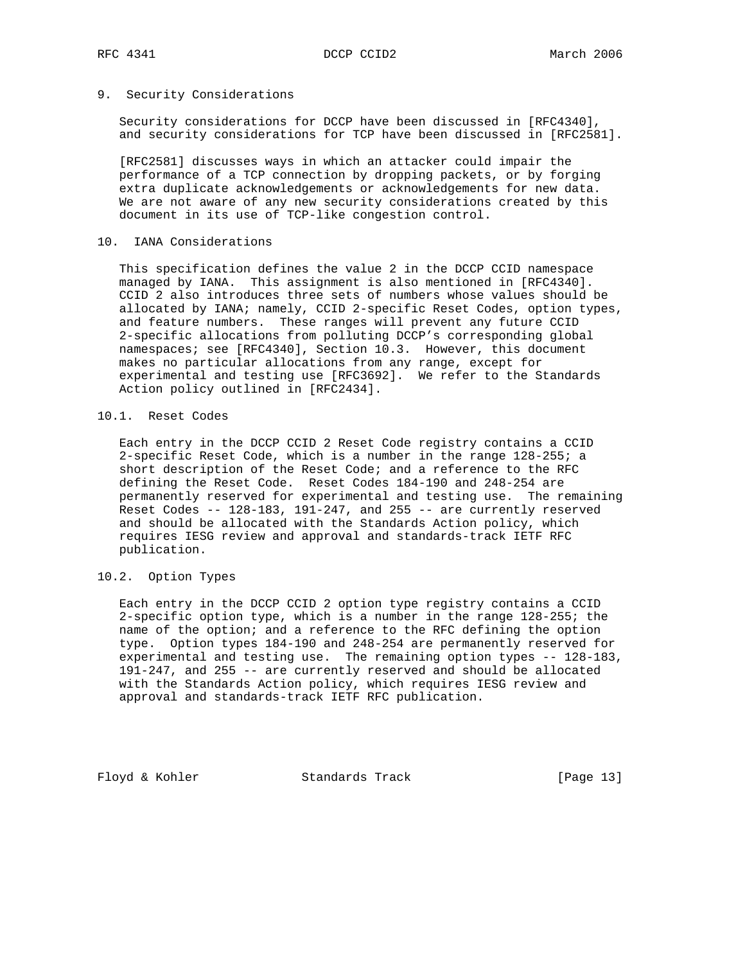# 9. Security Considerations

 Security considerations for DCCP have been discussed in [RFC4340], and security considerations for TCP have been discussed in [RFC2581].

 [RFC2581] discusses ways in which an attacker could impair the performance of a TCP connection by dropping packets, or by forging extra duplicate acknowledgements or acknowledgements for new data. We are not aware of any new security considerations created by this document in its use of TCP-like congestion control.

# 10. IANA Considerations

 This specification defines the value 2 in the DCCP CCID namespace managed by IANA. This assignment is also mentioned in [RFC4340]. CCID 2 also introduces three sets of numbers whose values should be allocated by IANA; namely, CCID 2-specific Reset Codes, option types, and feature numbers. These ranges will prevent any future CCID 2-specific allocations from polluting DCCP's corresponding global namespaces; see [RFC4340], Section 10.3. However, this document makes no particular allocations from any range, except for experimental and testing use [RFC3692]. We refer to the Standards Action policy outlined in [RFC2434].

# 10.1. Reset Codes

 Each entry in the DCCP CCID 2 Reset Code registry contains a CCID 2-specific Reset Code, which is a number in the range 128-255; a short description of the Reset Code; and a reference to the RFC defining the Reset Code. Reset Codes 184-190 and 248-254 are permanently reserved for experimental and testing use. The remaining Reset Codes -- 128-183, 191-247, and 255 -- are currently reserved and should be allocated with the Standards Action policy, which requires IESG review and approval and standards-track IETF RFC publication.

# 10.2. Option Types

 Each entry in the DCCP CCID 2 option type registry contains a CCID 2-specific option type, which is a number in the range 128-255; the name of the option; and a reference to the RFC defining the option type. Option types 184-190 and 248-254 are permanently reserved for experimental and testing use. The remaining option types -- 128-183, 191-247, and 255 -- are currently reserved and should be allocated with the Standards Action policy, which requires IESG review and approval and standards-track IETF RFC publication.

Floyd & Kohler Standards Track [Page 13]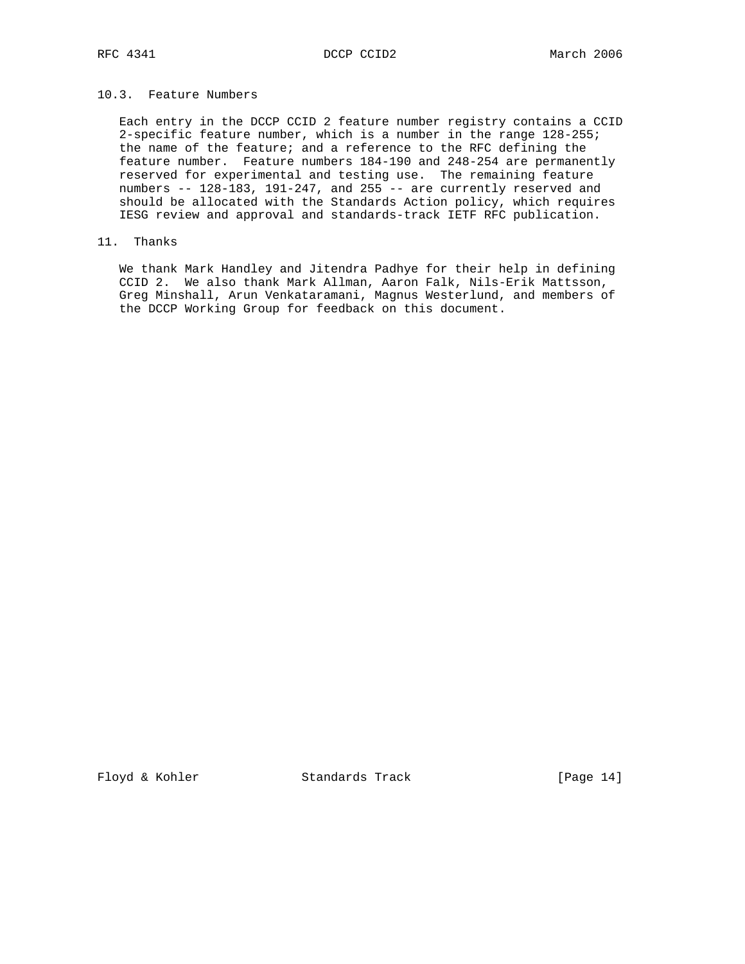# 10.3. Feature Numbers

 Each entry in the DCCP CCID 2 feature number registry contains a CCID 2-specific feature number, which is a number in the range 128-255; the name of the feature; and a reference to the RFC defining the feature number. Feature numbers 184-190 and 248-254 are permanently reserved for experimental and testing use. The remaining feature numbers  $-$  128-183, 191-247, and 255  $-$  are currently reserved and should be allocated with the Standards Action policy, which requires IESG review and approval and standards-track IETF RFC publication.

# 11. Thanks

 We thank Mark Handley and Jitendra Padhye for their help in defining CCID 2. We also thank Mark Allman, Aaron Falk, Nils-Erik Mattsson, Greg Minshall, Arun Venkataramani, Magnus Westerlund, and members of the DCCP Working Group for feedback on this document.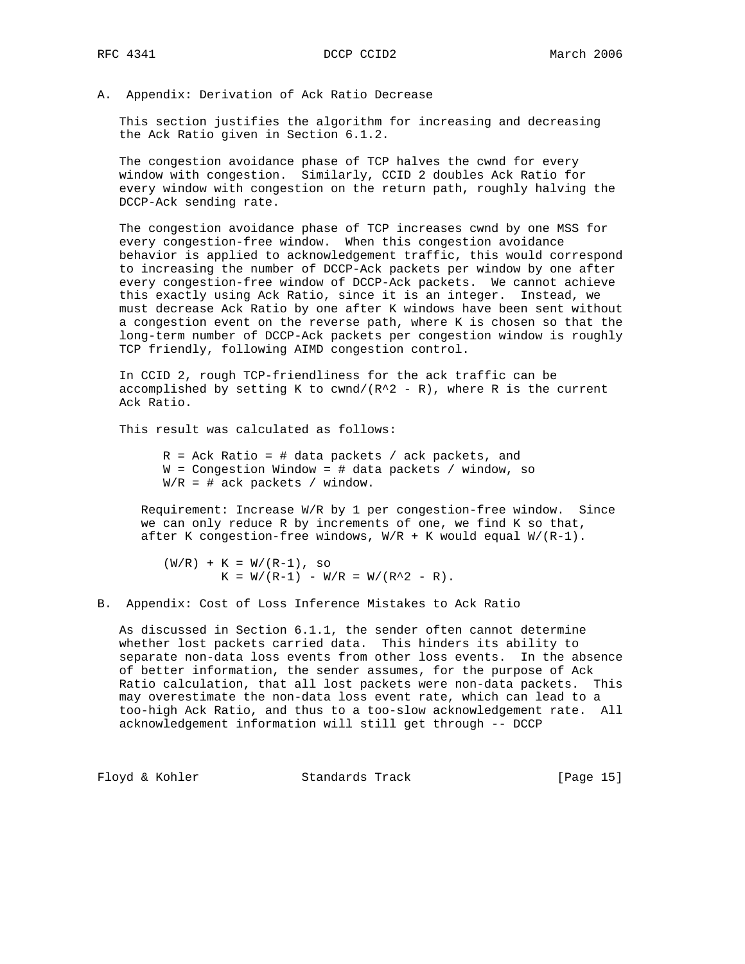A. Appendix: Derivation of Ack Ratio Decrease

 This section justifies the algorithm for increasing and decreasing the Ack Ratio given in Section 6.1.2.

 The congestion avoidance phase of TCP halves the cwnd for every window with congestion. Similarly, CCID 2 doubles Ack Ratio for every window with congestion on the return path, roughly halving the DCCP-Ack sending rate.

 The congestion avoidance phase of TCP increases cwnd by one MSS for every congestion-free window. When this congestion avoidance behavior is applied to acknowledgement traffic, this would correspond to increasing the number of DCCP-Ack packets per window by one after every congestion-free window of DCCP-Ack packets. We cannot achieve this exactly using Ack Ratio, since it is an integer. Instead, we must decrease Ack Ratio by one after K windows have been sent without a congestion event on the reverse path, where K is chosen so that the long-term number of DCCP-Ack packets per congestion window is roughly TCP friendly, following AIMD congestion control.

 In CCID 2, rough TCP-friendliness for the ack traffic can be accomplished by setting K to cwnd/ $(R^2 - R)$ , where R is the current Ack Ratio.

This result was calculated as follows:

 $R = Ack$  Ratio = # data packets / ack packets, and  $W =$  Congestion Window = # data packets / window, so  $W/R = #$  ack packets / window.

 Requirement: Increase W/R by 1 per congestion-free window. Since we can only reduce R by increments of one, we find K so that, after K congestion-free windows,  $W/R + K$  would equal  $W/(R-1)$ .

 $(W/R) + K = W/(R-1)$ , so  $K = W/(R-1) - W/R = W/(R^2 - R).$ 

B. Appendix: Cost of Loss Inference Mistakes to Ack Ratio

 As discussed in Section 6.1.1, the sender often cannot determine whether lost packets carried data. This hinders its ability to separate non-data loss events from other loss events. In the absence of better information, the sender assumes, for the purpose of Ack Ratio calculation, that all lost packets were non-data packets. This may overestimate the non-data loss event rate, which can lead to a too-high Ack Ratio, and thus to a too-slow acknowledgement rate. All acknowledgement information will still get through -- DCCP

Floyd & Kohler Standards Track [Page 15]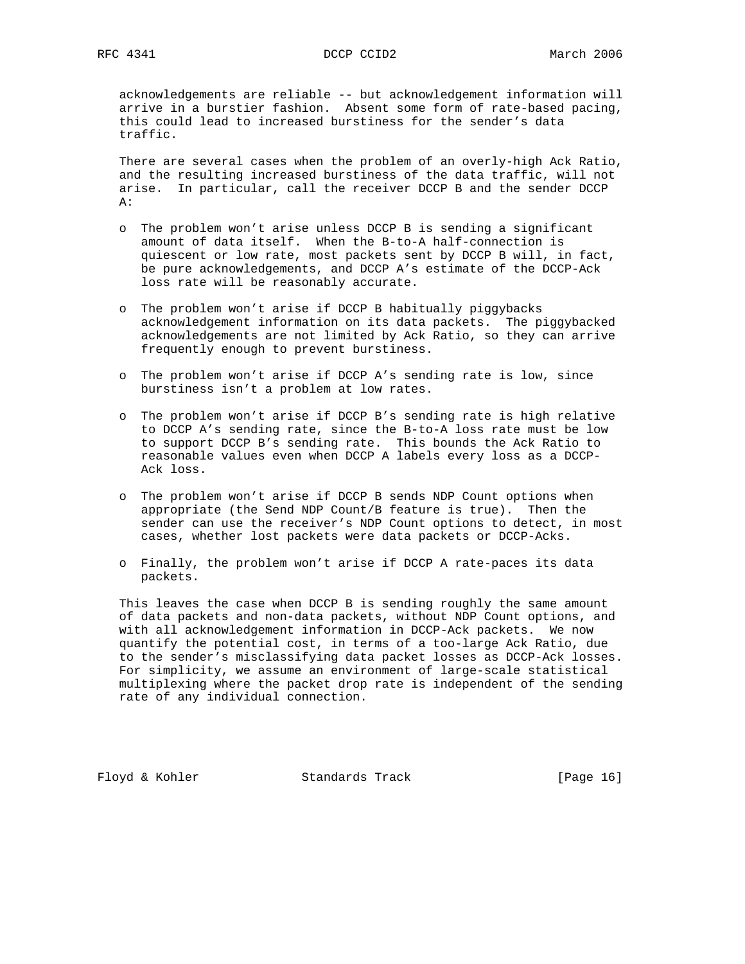acknowledgements are reliable -- but acknowledgement information will arrive in a burstier fashion. Absent some form of rate-based pacing, this could lead to increased burstiness for the sender's data traffic.

 There are several cases when the problem of an overly-high Ack Ratio, and the resulting increased burstiness of the data traffic, will not arise. In particular, call the receiver DCCP B and the sender DCCP  $A$ :

- o The problem won't arise unless DCCP B is sending a significant amount of data itself. When the B-to-A half-connection is quiescent or low rate, most packets sent by DCCP B will, in fact, be pure acknowledgements, and DCCP A's estimate of the DCCP-Ack loss rate will be reasonably accurate.
- o The problem won't arise if DCCP B habitually piggybacks acknowledgement information on its data packets. The piggybacked acknowledgements are not limited by Ack Ratio, so they can arrive frequently enough to prevent burstiness.
- o The problem won't arise if DCCP A's sending rate is low, since burstiness isn't a problem at low rates.
- o The problem won't arise if DCCP B's sending rate is high relative to DCCP A's sending rate, since the B-to-A loss rate must be low to support DCCP B's sending rate. This bounds the Ack Ratio to reasonable values even when DCCP A labels every loss as a DCCP- Ack loss.
- o The problem won't arise if DCCP B sends NDP Count options when appropriate (the Send NDP Count/B feature is true). Then the sender can use the receiver's NDP Count options to detect, in most cases, whether lost packets were data packets or DCCP-Acks.
- o Finally, the problem won't arise if DCCP A rate-paces its data packets.

 This leaves the case when DCCP B is sending roughly the same amount of data packets and non-data packets, without NDP Count options, and with all acknowledgement information in DCCP-Ack packets. We now quantify the potential cost, in terms of a too-large Ack Ratio, due to the sender's misclassifying data packet losses as DCCP-Ack losses. For simplicity, we assume an environment of large-scale statistical multiplexing where the packet drop rate is independent of the sending rate of any individual connection.

Floyd & Kohler Standards Track [Page 16]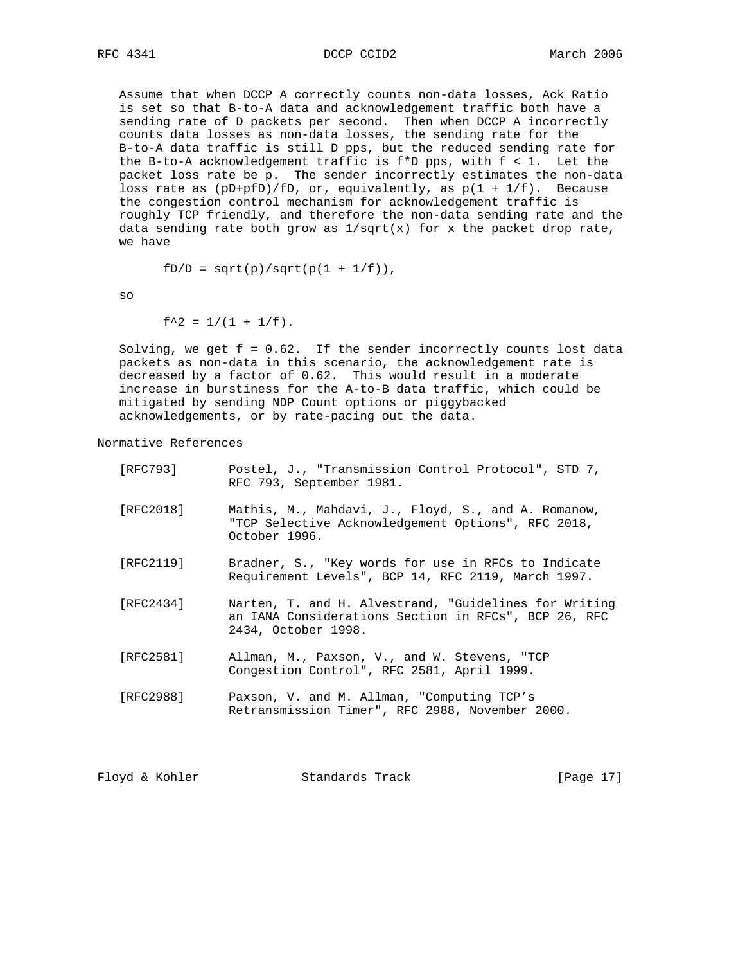RFC 4341 DCCP CCID2 March 2006

 Assume that when DCCP A correctly counts non-data losses, Ack Ratio is set so that B-to-A data and acknowledgement traffic both have a sending rate of D packets per second. Then when DCCP A incorrectly counts data losses as non-data losses, the sending rate for the B-to-A data traffic is still D pps, but the reduced sending rate for the B-to-A acknowledgement traffic is  $f * D$  pps, with  $f < 1$ . Let the packet loss rate be p. The sender incorrectly estimates the non-data loss rate as  $(pD+pfD)/fD$ , or, equivalently, as  $p(1 + 1/f)$ . Because the congestion control mechanism for acknowledgement traffic is roughly TCP friendly, and therefore the non-data sending rate and the data sending rate both grow as  $1/\sqrt{\text{s}}(x)$  for x the packet drop rate, we have

$$
fD/D = sqrt(p)/sqrt(p(1 + 1/f)),
$$

so

 $f^2 = 1/(1 + 1/f)$ .

Solving, we get  $f = 0.62$ . If the sender incorrectly counts lost data packets as non-data in this scenario, the acknowledgement rate is decreased by a factor of 0.62. This would result in a moderate increase in burstiness for the A-to-B data traffic, which could be mitigated by sending NDP Count options or piggybacked acknowledgements, or by rate-pacing out the data.

Normative References

| [RFC793]  | Postel, J., "Transmission Control Protocol", STD 7,<br>RFC 793, September 1981.                                                      |
|-----------|--------------------------------------------------------------------------------------------------------------------------------------|
| [RFC2018] | Mathis, M., Mahdavi, J., Floyd, S., and A. Romanow,<br>"TCP Selective Acknowledgement Options", RFC 2018,<br>October 1996.           |
| [RFC2119] | Bradner, S., "Key words for use in RFCs to Indicate<br>Requirement Levels", BCP 14, RFC 2119, March 1997.                            |
| [RFC2434] | Narten, T. and H. Alvestrand, "Guidelines for Writing<br>an IANA Considerations Section in RFCs", BCP 26, RFC<br>2434, October 1998. |
| [RFC2581] | Allman, M., Paxson, V., and W. Stevens, "TCP<br>Congestion Control", RFC 2581, April 1999.                                           |
| [RFC2988] | Paxson, V. and M. Allman, "Computing TCP's<br>Retransmission Timer", RFC 2988, November 2000.                                        |

Floyd & Kohler Standards Track [Page 17]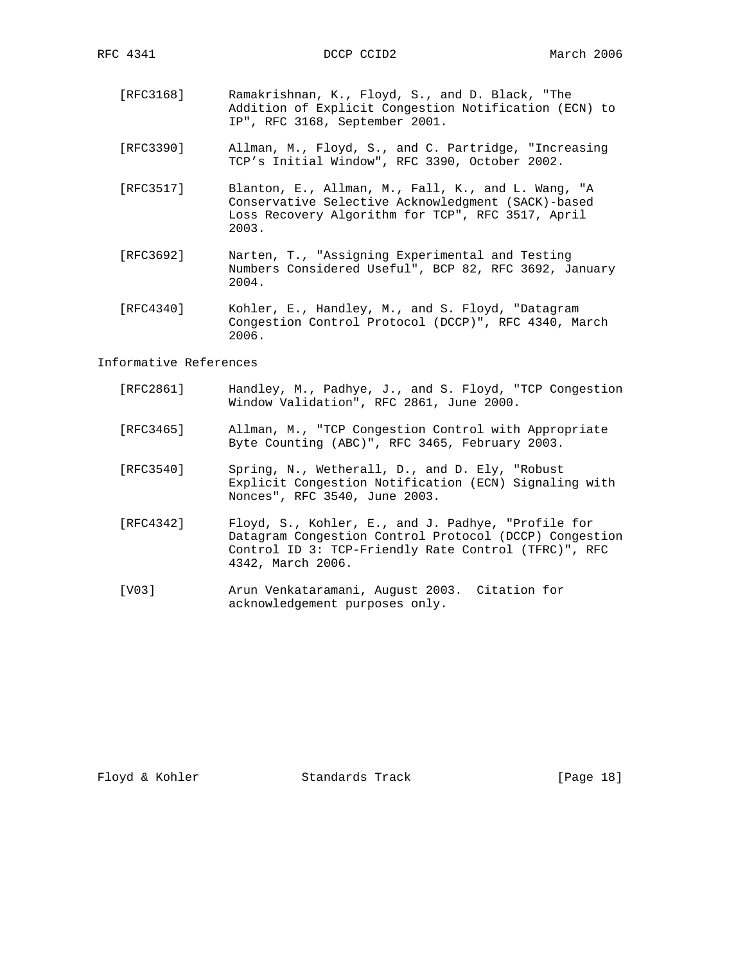- [RFC3168] Ramakrishnan, K., Floyd, S., and D. Black, "The Addition of Explicit Congestion Notification (ECN) to IP", RFC 3168, September 2001.
- [RFC3390] Allman, M., Floyd, S., and C. Partridge, "Increasing TCP's Initial Window", RFC 3390, October 2002.
	- [RFC3517] Blanton, E., Allman, M., Fall, K., and L. Wang, "A Conservative Selective Acknowledgment (SACK)-based Loss Recovery Algorithm for TCP", RFC 3517, April 2003.
	- [RFC3692] Narten, T., "Assigning Experimental and Testing Numbers Considered Useful", BCP 82, RFC 3692, January 2004.
	- [RFC4340] Kohler, E., Handley, M., and S. Floyd, "Datagram Congestion Control Protocol (DCCP)", RFC 4340, March 2006.

### Informative References

- [RFC2861] Handley, M., Padhye, J., and S. Floyd, "TCP Congestion Window Validation", RFC 2861, June 2000.
- [RFC3465] Allman, M., "TCP Congestion Control with Appropriate Byte Counting (ABC)", RFC 3465, February 2003.
- [RFC3540] Spring, N., Wetherall, D., and D. Ely, "Robust Explicit Congestion Notification (ECN) Signaling with Nonces", RFC 3540, June 2003.
- [RFC4342] Floyd, S., Kohler, E., and J. Padhye, "Profile for Datagram Congestion Control Protocol (DCCP) Congestion Control ID 3: TCP-Friendly Rate Control (TFRC)", RFC 4342, March 2006.
- [V03] Arun Venkataramani, August 2003. Citation for acknowledgement purposes only.

Floyd & Kohler Standards Track [Page 18]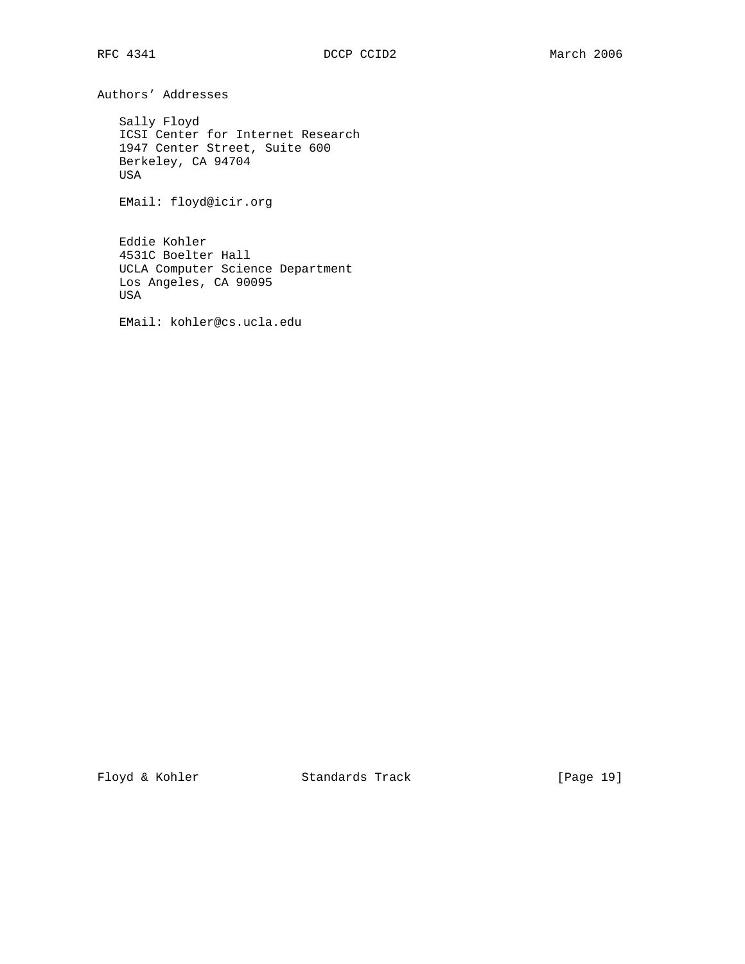Authors' Addresses

 Sally Floyd ICSI Center for Internet Research 1947 Center Street, Suite 600 Berkeley, CA 94704 USA

EMail: floyd@icir.org

 Eddie Kohler 4531C Boelter Hall UCLA Computer Science Department Los Angeles, CA 90095 USA

EMail: kohler@cs.ucla.edu